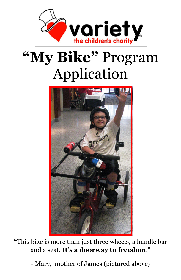

# **"My Bike"** Program Application



**"**This bike is more than just three wheels, a handle bar and a seat. **It's a doorway to freedom**."

- Mary, mother of James (pictured above)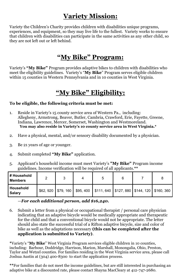# **Variety Mission:**

Variety the Children's Charity provides children with disabilities unique programs, experiences, and equipment, so they may live life to the fullest. Variety works to ensure that children with disabilities can participate in the same activities as any other child, so they are not left out or left behind.

## **"My Bike" Program:**

Variety's **"My Bike"** Program provides adaptive bikes to children with disabilities who meet the eligibility guidelines. Variety's "**My Bike**" Program serves eligible children within 15 counties in Western Pennsylvania and in 10 counties in West Virginia.

## **"My Bike" Eligibility:**

#### **To be eligible, the following criteria must be met:**

- 1. Reside in Variety's 15 county service area of Western Pa., including: Allegheny, Armstrong, Beaver, Butler, Cambria, Crawford, Erie, Fayette, Greene, Indiana, Lawrence, Mercer, Somerset, Washington and Westmoreland. **You may also reside in Variety's 10 county service area in West Virginia.\***
- 2. Have a physical, mental, and/or sensory disability documented by a physician.
- 3. Be 21 years of age or younger.
- 4. Submit completed **"My Bike"** application.
- 5. Applicant's household income must meet Variety's **"My Bike"** Program income guidelines. Income verification will be required of all applicants.**\*\***

| # Household<br><b>Members</b> |  |                                                                                       |  |  |
|-------------------------------|--|---------------------------------------------------------------------------------------|--|--|
| Household<br>Salary           |  | \$62, 920   \$79, 160   \$95, 400   \$111, 640   \$127, 880   \$144, 120   \$160, 360 |  |  |

#### —*For each additional person, add \$16,240.*

6. Submit a letter from a physical or occupational therapist / personal care physician indicating that an adaptive bicycle would be medically appropriate and therapeutic for the child and that a conventional bicycle would not be appropriate. The letter should also state the successful trial of a Rifton adaptive bicycle, size and color of bike as well as the adaptations necessary **(this can be completed after the application is submitted to Variety)**.

**\***Variety's "**My Bike**" West Virginia Program services eligible children in 10 counties, including: Barbour, Doddridge, Harrison, Marion, Marshall, Monongalia, Ohio, Preston, Taylor and Wetzel counties. For families residing in the West Virginia service area, please call Joshua Austin at (304) 400-8300 to start the application process.

**\*\***For families that do not meet the income guidelines, but are still interested in purchasing an adaptive bike at a discounted rate, please contact Shayna MacCleary at 412-747-2680.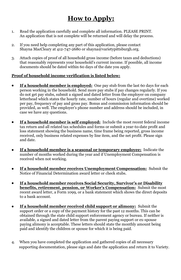# **How to Apply:**

- 1. Read the application carefully and complete all information. PLEASE PRINT. An application that is not complete will be returned and will delay the process.
- 2. If you need help completing any part of this application, please contact Shayna MacCleary at 412-747-2680 or shayna@varietypittsburgh.org.
- 3. Attach copies of proof of all household gross income (before taxes and deductions) that reasonably represents your household's current income. If possible, all income documents should be dated within 60 days of the date you apply.

#### **Proof of household income verification is listed below:**

- **If a household member is employed:** One pay stub from the last 60 days for each  $\bullet$ person working in the household. Send more pay stubs if pay changes regularly. If you do not get pay stubs, submit a signed and dated letter from the employer on company letterhead which states the hourly rate, number of hours (regular and overtime) worked per pay, frequency of pay and gross pay. Bonus and commission information should be provided, as well. The employer's phone number and address should be included, in case we have any questions.
- **If a household member is self employed:** Include the most recent federal income tax return and all related tax schedules and forms or submit a year-to-date profit and loss statement showing the business name, time frame being reported, gross income received, only business related expenses by line item, and the net profit. Please sign and date.
- **If a household member is a seasonal or temporary employee:** Indicate the number of months worked during the year and if Unemployment Compensation is received when not working.
- **If a household member receives Unemployment Compensation:** Submit the Notice of Financial Determination award letter or check stubs.
- **If a household member receives Social Security, Survivor's or Disability benefits, retirement, pension, or Worker's Compensation:** Submit the most recent award letter, a Form 1099, or a bank statement which shows the direct deposits to a bank account.
- **If a household member received child support or alimony:** Submit the support order or a copy of the payment history for the past 12 months. This can be obtained through the state child support enforcement agency or bureau. If neither is available, a signed and dated letter from the parent paying support or ex-spouse paying alimony is acceptable. These letters should state the monthly amount being paid and identify the children or spouse for which it is being paid.
- 4. When you have completed the application and gathered copies of all necessary supporting documentation, please sign and date the application and return it to Variety.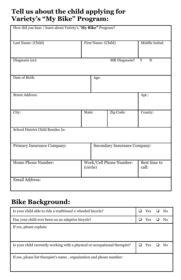# **Tell us about the child applying for Variety's "My Bike" Program:**

| How did you hear / learn about Variety's "My Bike" Program? |  |                              |                         |                       |  |  |
|-------------------------------------------------------------|--|------------------------------|-------------------------|-----------------------|--|--|
| Last Name: (Child)                                          |  | First Name: (Child)          |                         | Middle Initial:       |  |  |
| Diagnosis (es):                                             |  |                              | MR Diagnosis?           | Y<br>$\mathbf N$      |  |  |
| Date of Birth:                                              |  | Age:                         |                         |                       |  |  |
| <b>Street Address:</b>                                      |  |                              |                         | Apt.:                 |  |  |
| City:                                                       |  | Zip Code:<br>State:          |                         | County:               |  |  |
| School District Child Resides In:                           |  |                              |                         |                       |  |  |
| Primary Insurance Company:                                  |  | Secondary Insurance Company: |                         |                       |  |  |
| Home Phone Number:                                          |  | (circle)                     | Work/Cell Phone Number: | Best time to<br>call: |  |  |
| Email Address:                                              |  |                              |                         |                       |  |  |

# **Bike Background:**

| Is your child able to ride a traditional 2 wheeled bicycle?                | ⊔ | Yes        | N <sub>0</sub> |
|----------------------------------------------------------------------------|---|------------|----------------|
| Has your child ever been on an adaptive bicycle?                           | ⊔ | Yes        | Nο             |
| If yes, please explain:                                                    |   |            |                |
| Is your child currently working with a physical or occupational therapist? | ப | <b>Yes</b> | Nο             |
| If yes, please list therapist's name, organization and phone number:       |   |            |                |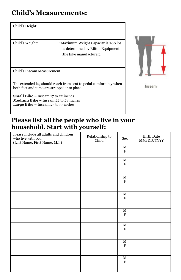# **Child's Measurements:**

#### Child's Height:

Child's Weight: \*Maximum Weight Capacity is 200 lbs, as determined by Rifton Equipment (the bike manufacturer).

Child's Inseam Measurement:

The extended leg should reach from seat to pedal comfortably when both feet and torso are strapped into place.

**Small Bike** – Inseam 17 to 22 inches **Medium Bike** – Inseam 22 to 28 inches **Large Bike** – Inseam 25 to 35 inches



Inseam

#### **Please list all the people who live in your household. Start with yourself:**

| Please include all adults and children<br>who live with you.<br>(Last Name, First Name, M.I.) | Relationship to<br>Child | Sex                                  | <b>Birth Date</b><br>MM/DD/YYYY |
|-----------------------------------------------------------------------------------------------|--------------------------|--------------------------------------|---------------------------------|
|                                                                                               |                          | $\overline{\text{M}}$<br>F           |                                 |
|                                                                                               |                          | $\overline{\text{M}}$<br>$\mathbf F$ |                                 |
|                                                                                               |                          | $\overline{\text{M}}$<br>$\mathbf F$ |                                 |
|                                                                                               |                          | M<br>F                               |                                 |
|                                                                                               |                          | М<br>$\mathbf F$                     |                                 |
|                                                                                               |                          | М<br>F                               |                                 |
|                                                                                               |                          | $\overline{\text{M}}$<br>F           |                                 |
|                                                                                               |                          | $\overline{\text{M}}$<br>F           |                                 |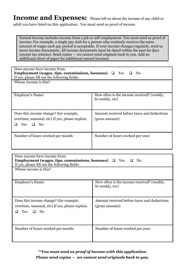#### **Income and Expenses:** Please tell us about the income of any child or adult you have listed on this application. You must send us proof of income.

Earned Income includes income from a job or self-employment. You must send us proof of income. For example, a single pay stub for a person who routinely receives the same amount of wages each pay period is acceptable. If your income changes regularly, send us more income documents. All income documents must be dated within the past 60 days (except tax returns). Send copies — we cannot send originals back to you. Add an additional sheet of paper for additional earned incomes.

| Does anyone have income from:<br>Employment (wages, tips, commissions, bonuses) $\Box$ Yes<br>No.<br>If yes, please fill out the following fields: |                                                                |  |  |  |  |
|----------------------------------------------------------------------------------------------------------------------------------------------------|----------------------------------------------------------------|--|--|--|--|
| Whose income is this?                                                                                                                              |                                                                |  |  |  |  |
| Employer's Name:                                                                                                                                   | How often is the income received? (weekly,<br>bi-weekly, etc)  |  |  |  |  |
| Does this income change? (for example,<br>overtime, seasonal, etc) If yes, please explain.<br>Yes<br>No                                            | Amount received before taxes and deductions<br>(gross amount): |  |  |  |  |
| Number of hours worked per month:                                                                                                                  | Number of hours worked per year:                               |  |  |  |  |

| Does anyone have income from:<br>Employment (wages, tips, commissions, bonuses) $\Box$ Yes $\Box$<br>No<br>If yes, please fill out the following fields: |                                                                |  |  |  |  |
|----------------------------------------------------------------------------------------------------------------------------------------------------------|----------------------------------------------------------------|--|--|--|--|
| Whose income is this?                                                                                                                                    |                                                                |  |  |  |  |
| Employer's Name:                                                                                                                                         | How often is the income received? (weekly,<br>bi-weekly, etc)  |  |  |  |  |
| Does this income change? (for example,<br>overtime, seasonal, etc) If yes, please explain.<br>Yes<br>N <sub>0</sub><br>$\mathbf{L}$                      | Amount received before taxes and deductions<br>(gross amount): |  |  |  |  |
| Number of hours worked per month:                                                                                                                        | Number of hours worked per year:                               |  |  |  |  |

*\*\*You must send us proof of income with this application. Please send copies — we cannot send originals back to you.*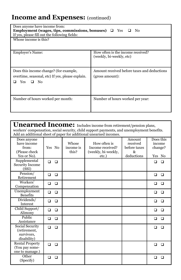# **Income and Expenses: (continued)**

| Does anyone have income from:<br>Employment (wages, tips, commissions, bonuses) $\Box$ Yes $\Box$<br>No.<br>If yes, please fill out the following fields: |                                                                |  |  |  |  |
|-----------------------------------------------------------------------------------------------------------------------------------------------------------|----------------------------------------------------------------|--|--|--|--|
| Whose income is this?                                                                                                                                     |                                                                |  |  |  |  |
| Employer's Name:                                                                                                                                          | How often is the income received?<br>(weekly, bi-weekly, etc)  |  |  |  |  |
| Does this income change? (for example,<br>overtime, seasonal, etc) If yes, please explain.<br>Yes<br>$\Box$ No                                            | Amount received before taxes and deductions<br>(gross amount): |  |  |  |  |
| Number of hours worked per month:                                                                                                                         | Number of hours worked per year:                               |  |  |  |  |

| <b>Unearned Income:</b> Includes income from retirement/pension plans,                                                                                          |        |        |                             |                                                                  |                                                          |                                          |        |
|-----------------------------------------------------------------------------------------------------------------------------------------------------------------|--------|--------|-----------------------------|------------------------------------------------------------------|----------------------------------------------------------|------------------------------------------|--------|
| workers' compensation, social security, child support payments, and unemployment benefits.<br>Add an additional sheet of paper for additional unearned incomes. |        |        |                             |                                                                  |                                                          |                                          |        |
| Does anyone<br>have income<br>from:<br>(Please check<br>Yes or No).                                                                                             | Yes No |        | Whose<br>income is<br>this? | How often is<br>Income received?<br>(weekly, bi-weekly,<br>etc.) | Amount<br>received<br>before taxes<br>$\&$<br>deductions | Does this<br>income<br>change?<br>Yes No |        |
| Supplemental<br><b>Security Income</b><br>(SSI)                                                                                                                 | $\Box$ | $\Box$ |                             |                                                                  |                                                          | □                                        | □      |
| Pension/<br>Retirement                                                                                                                                          | $\Box$ | $\Box$ |                             |                                                                  |                                                          | $\Box$                                   | $\Box$ |
| Workers'<br>Compensation                                                                                                                                        | □      | $\Box$ |                             |                                                                  |                                                          | ◻                                        | □      |
| Unemployment<br><b>Benefits</b>                                                                                                                                 | $\Box$ | $\Box$ |                             |                                                                  |                                                          | $\Box$                                   | $\Box$ |
| Dividends/<br><b>Interest</b>                                                                                                                                   | $\Box$ | $\Box$ |                             |                                                                  |                                                          | $\Box$                                   | □      |
| Child Support/<br>Alimony                                                                                                                                       | $\Box$ | $\Box$ |                             |                                                                  |                                                          | □                                        | □      |
| Public<br>Assistance                                                                                                                                            | □      | $\Box$ |                             |                                                                  |                                                          | □                                        | □      |
| Social Security<br>(retirement,<br>survivors,<br>disability)                                                                                                    | $\Box$ | $\Box$ |                             |                                                                  |                                                          | $\Box$                                   | □      |
| <b>Rental Property</b><br>(You pay some-<br>one to manage.)                                                                                                     | $\Box$ | $\Box$ |                             |                                                                  |                                                          | □                                        | □      |
| Other<br>(Specify)                                                                                                                                              | □      | □      |                             |                                                                  |                                                          | ⊓                                        | □      |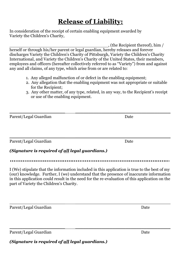# **Release of Liability:**

In consideration of the receipt of certain enabling equipment awarded by Variety the Children's Charity,

, (the Recipient thereof), him / herself or through his/her parent or legal guardian, hereby releases and forever discharges Variety the Children's Charity of Pittsburgh, Variety the Children's Charity International, and Variety the Children's Charity of the United States, their members, employees and officers (hereafter collectively referred to as "Variety") from and against any and all claims, of any type, which arise from or are related to:

- 1. Any alleged malfunction of or defect in the enabling equipment;
- 2. Any allegation that the enabling equipment was not appropriate or suitable for the Recipient;
- 3. Any other matter, of any type, related, in any way, to the Recipient's receipt or use of the enabling equipment.

Parent/Legal Guardian Date

Parent/Legal Guardian Date

#### *(Signature is required of all legal guardians.)*

\_\_\_\_\_\_\_\_\_\_\_\_\_\_\_\_\_\_\_\_\_ \_\_\_\_\_\_\_\_\_\_\_\_\_\_\_\_\_\_\_\_\_\_\_\_\_\_\_\_\_\_\_\_\_\_\_\_

I (We) stipulate that the information included in this application is true to the best of my (our) knowledge. Further, I (we) understand that the presence of inaccurate information in this application could result in the need for the re-evaluation of this application on the part of Variety the Children's Charity.

\_\_\_\_\_\_\_\_\_\_\_\_\_\_\_\_\_\_\_\_\_ \_\_\_\_\_\_\_\_\_\_\_\_\_\_\_\_\_\_\_\_\_\_\_\_\_\_\_\_\_\_\_\_\_\_\_\_

\_\_\_\_\_\_\_\_\_\_\_\_\_\_\_\_\_\_\_\_\_ \_\_\_\_\_\_\_\_\_\_\_\_\_\_\_\_\_\_\_\_\_\_\_\_\_\_\_\_\_\_\_\_\_\_\_\_

Parent/Legal Guardian Date

Parent/Legal Guardian Date

*(Signature is required of all legal guardians.)*

\_\_\_\_\_\_\_\_\_\_\_\_\_\_\_\_\_\_\_\_\_ \_\_\_\_\_\_\_\_\_\_\_\_\_\_\_\_\_\_\_\_\_\_\_\_\_\_\_\_\_\_\_\_\_\_\_\_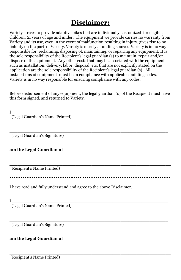# **Disclaimer:**

Variety strives to provide adaptive bikes that are individually customized for eligible children, 21 years of age and under. The equipment we provide carries no warranty from Variety and its use, even in the event of malfunction resulting in injury, gives rise to no liability on the part of Variety. Variety is merely a funding source. Variety is in no way responsible for reclaiming, disposing of, maintaining, or repairing any equipment. It is the sole responsibility of the Recipient's legal guardian (s) to maintain, repair and/or dispose of the equipment. Any other costs that may be associated with the equipment such as installation, delivery, labor, disposal, etc. that are not explicitly stated on the application are the sole responsibility of the Recipient's legal guardian (s). All installations of equipment must be in compliance with applicable building codes. Variety is in no way responsible for ensuring compliance with any codes.

Before disbursement of any equipment, the legal guardian (s) of the Recipient must have this form signed, and returned to Variety.

 ${\rm I}$   $\_$ 

(Legal Guardian's Name Printed)

 $\_$  , and the set of the set of the set of the set of the set of the set of the set of the set of the set of the set of the set of the set of the set of the set of the set of the set of the set of the set of the set of th (Legal Guardian's Signature)

#### **am the Legal Guardian of**

(Recipient's Name Printed)

\_\_\_\_\_\_\_\_\_\_\_\_\_\_\_\_\_\_\_\_\_\_\_\_\_\_\_\_\_\_\_\_\_\_\_\_\_\_\_\_\_\_\_\_\_\_\_\_\_\_\_\_\_\_\_\_\_\_\_\_\_

I have read and fully understand and agree to the above Disclaimer.

 ${\rm I}$   $\_$ 

(Legal Guardian's Name Printed)

 $\_$  , and the set of the set of the set of the set of the set of the set of the set of the set of the set of the set of the set of the set of the set of the set of the set of the set of the set of the set of the set of th (Legal Guardian's Signature)

#### **am the Legal Guardian of**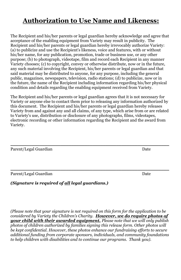## **Authorization to Use Name and Likeness:**

The Recipient and his/her parents or legal guardian hereby acknowledge and agree that acceptance of the enabling equipment from Variety may result in publicity. The Recipient and his/her parents or legal guardian hereby irrevocably authorize Variety: (a) to publicize and use the Recipient's likeness, voice and features, with or without his/her name, for any publication, promotion, trade or business use, or any other purpose; (b) to photograph, videotape, film and record each Recipient in any manner Variety chooses; (c) to copyright, convey or otherwise distribute, now or in the future, any such material involving the Recipient, his/her parents or legal guardian and that said material may be distributed to anyone, for any purpose, including the general public, magazines, newspapers, television, radio stations; (d) to publicize, now or in the future, the name of the Recipient including information regarding his/her physical condition and details regarding the enabling equipment received from Variety.

The Recipient and his/her parents or legal guardian agrees that it is not necessary for Variety or anyone else to contact them prior to releasing any information authorized by this document. The Recipient and his/her parents or legal guardian hereby releases Variety from and against any and all claims, of any type, which arise from or are related to Variety's use, distribution or disclosure of any photographs, films, videotapes, electronic recording or other information regarding the Recipient and the award from Variety.

\_\_\_\_\_\_\_\_\_\_\_\_\_\_\_\_\_\_\_\_\_\_\_\_\_\_\_\_\_\_\_\_\_\_\_\_\_\_\_\_\_\_\_\_\_\_\_\_\_\_\_\_\_\_\_\_\_\_\_\_

\_\_\_\_\_\_\_\_\_\_\_\_\_\_\_\_\_\_\_\_\_\_\_\_\_\_\_\_\_\_\_\_\_\_\_\_\_\_\_\_\_\_\_\_\_\_\_\_\_\_\_\_\_\_\_\_\_\_\_\_

Parent/Legal Guardian Date

Parent/Legal Guardian **Date** 

*(Signature is required of all legal guardians.)*

*(Please note that your signature is not required on this form for the application to be considered by Variety the Children's Charity. However, we do require photos of your child with their awarded equipment. Please note that we will only publish photos of children authorized by families signing this release form. Other photos will be kept confidential. However, these photos enhance our fundraising efforts to secure additional funding from corporate sponsors, individuals, and community foundations to help children with disabilities and to continue our programs. Thank you).*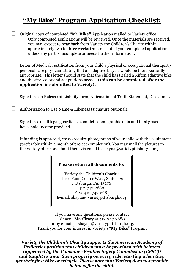# **"My Bike" Program Application Checklist:**

Original copy of completed **"My Bike"** Application mailed to Variety office. Only completed applications will be reviewed. Once the materials are received, you may expect to hear back from Variety the Children's Charity within approximately two to three weeks from receipt of your completed application, unless any part is incomplete or needs further information.

Letter of Medical Justification from your child's physical or occupational therapist / personal care physician stating that an adaptive bicycle would be therapeutically appropriate. This letter should state that the child has trialed a Rifton adaptive bike and the size, color and adaptations needed **(this can be completed after the application is submitted to Variety).**

Signature on Release of Liability form, Affirmation of Truth Statement, Disclaimer.

Authorization to Use Name & Likeness (signature optional).

Signatures of all legal guardians, complete demographic data and total gross household income provided.

If funding is approved, we do require photographs of your child with the equipment (preferably within a month of project completion). You may mail the pictures to the Variety office or submit them via email to shayna@varietypittsburgh.org.

#### **Please return all documents to:**

Variety the Children's Charity Three Penn Center West, Suite 229 Pittsburgh, PA 15276 412-747-2680 Fax: 412-747-2681 E-mail: shayna@varietypittsburgh.org

If you have any questions, please contact Shayna MacCleary at 412-747-2680 or by e-mail at shayna@varietypittsburgh.org. Thank you for your interest in Variety's "**My Bike**" Program.

*Variety the Children's Charity supports the American Academy of Pediatrics position that children must be provided with helmets (approved by the Consumer Product Safety Commission [CPSC]) and taught to wear them properly on every ride, starting when they get their first bike or tricycle. Please note that Variety does not provide helmets for the child.*